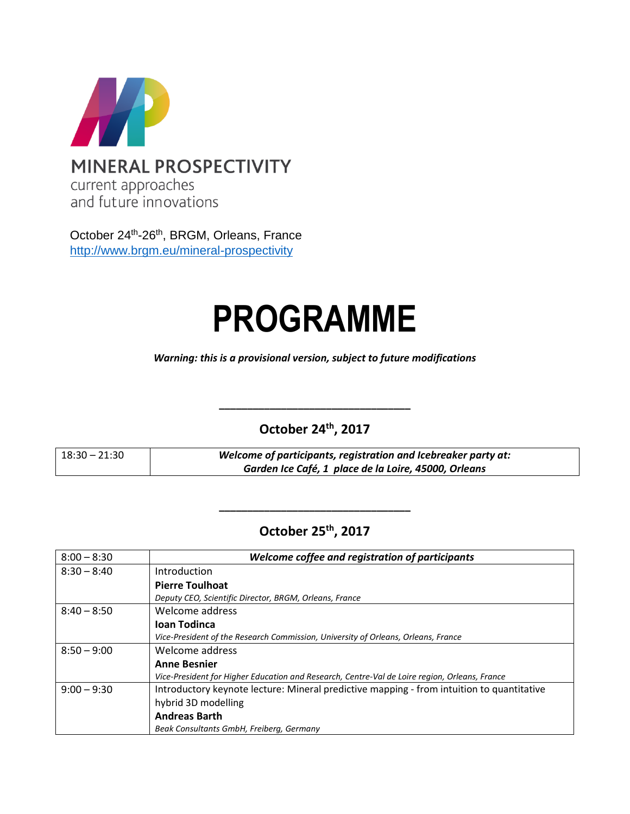

October 24<sup>th</sup>-26<sup>th</sup>, BRGM, Orleans, France <http://www.brgm.eu/mineral-prospectivity>

# **PROGRAMME**

*Warning: this is a provisional version, subject to future modifications*

**October 24th, 2017**

**\_\_\_\_\_\_\_\_\_\_\_\_\_\_\_\_\_\_\_\_\_\_\_\_\_\_\_\_\_\_\_\_\_\_**

| $18:30 - 21:30$ | Welcome of participants, registration and Icebreaker party at: |
|-----------------|----------------------------------------------------------------|
|                 | Garden Ice Café, 1 place de la Loire, 45000, Orleans           |

## **October 25th, 2017**

**\_\_\_\_\_\_\_\_\_\_\_\_\_\_\_\_\_\_\_\_\_\_\_\_\_\_\_\_\_\_\_\_\_\_**

| $8:00 - 8:30$ | Welcome coffee and registration of participants                                               |
|---------------|-----------------------------------------------------------------------------------------------|
| $8:30 - 8:40$ | Introduction                                                                                  |
|               | <b>Pierre Toulhoat</b>                                                                        |
|               | Deputy CEO, Scientific Director, BRGM, Orleans, France                                        |
| $8:40 - 8:50$ | Welcome address                                                                               |
|               | <b>Ioan Todinca</b>                                                                           |
|               | Vice-President of the Research Commission, University of Orleans, Orleans, France             |
| $8:50 - 9:00$ | Welcome address                                                                               |
|               | <b>Anne Besnier</b>                                                                           |
|               | Vice-President for Higher Education and Research, Centre-Val de Loire region, Orleans, France |
| $9:00 - 9:30$ | Introductory keynote lecture: Mineral predictive mapping - from intuition to quantitative     |
|               | hybrid 3D modelling                                                                           |
|               | <b>Andreas Barth</b>                                                                          |
|               | Beak Consultants GmbH, Freiberg, Germany                                                      |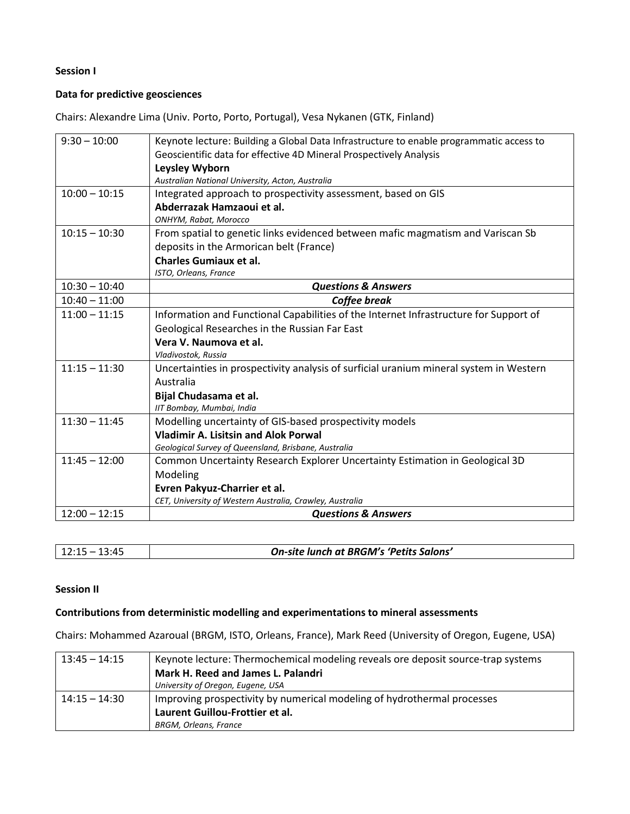### **Session I**

### **Data for predictive geosciences**

Chairs: Alexandre Lima (Univ. Porto, Porto, Portugal), Vesa Nykanen (GTK, Finland)

| $9:30 - 10:00$  | Keynote lecture: Building a Global Data Infrastructure to enable programmatic access to |
|-----------------|-----------------------------------------------------------------------------------------|
|                 | Geoscientific data for effective 4D Mineral Prospectively Analysis                      |
|                 | <b>Leysley Wyborn</b>                                                                   |
|                 | Australian National University, Acton, Australia                                        |
| $10:00 - 10:15$ | Integrated approach to prospectivity assessment, based on GIS                           |
|                 |                                                                                         |
|                 | Abderrazak Hamzaoui et al.                                                              |
|                 | ONHYM, Rabat, Morocco                                                                   |
| $10:15 - 10:30$ | From spatial to genetic links evidenced between mafic magmatism and Variscan Sb         |
|                 | deposits in the Armorican belt (France)                                                 |
|                 | <b>Charles Gumiaux et al.</b>                                                           |
|                 | ISTO, Orleans, France                                                                   |
| $10:30 - 10:40$ | <b>Questions &amp; Answers</b>                                                          |
| $10:40 - 11:00$ | <b>Coffee break</b>                                                                     |
| $11:00 - 11:15$ | Information and Functional Capabilities of the Internet Infrastructure for Support of   |
|                 | Geological Researches in the Russian Far East                                           |
|                 | Vera V. Naumova et al.                                                                  |
|                 | Vladivostok, Russia                                                                     |
| $11:15 - 11:30$ | Uncertainties in prospectivity analysis of surficial uranium mineral system in Western  |
|                 | Australia                                                                               |
|                 | Bijal Chudasama et al.                                                                  |
|                 | IIT Bombay, Mumbai, India                                                               |
| $11:30 - 11:45$ | Modelling uncertainty of GIS-based prospectivity models                                 |
|                 | <b>Vladimir A. Lisitsin and Alok Porwal</b>                                             |
|                 | Geological Survey of Queensland, Brisbane, Australia                                    |
| $11:45 - 12:00$ | Common Uncertainty Research Explorer Uncertainty Estimation in Geological 3D            |
|                 | Modeling                                                                                |
|                 | Evren Pakyuz-Charrier et al.                                                            |
|                 | CET, University of Western Australia, Crawley, Australia                                |
| $12:00 - 12:15$ | <b>Questions &amp; Answers</b>                                                          |

| 1 ว . 1 เ<br>$\mathbf{H}$ | On-site lunch at BRGM's 'Petits Salons' |
|---------------------------|-----------------------------------------|
|                           |                                         |

### **Session II**

### **Contributions from deterministic modelling and experimentations to mineral assessments**

Chairs: Mohammed Azaroual (BRGM, ISTO, Orleans, France), Mark Reed (University of Oregon, Eugene, USA)

| $13:45 - 14:15$ | Keynote lecture: Thermochemical modeling reveals ore deposit source-trap systems |
|-----------------|----------------------------------------------------------------------------------|
|                 | Mark H. Reed and James L. Palandri                                               |
|                 | University of Oregon, Eugene, USA                                                |
| $14:15 - 14:30$ | Improving prospectivity by numerical modeling of hydrothermal processes          |
|                 | Laurent Guillou-Frottier et al.                                                  |
|                 | <b>BRGM, Orleans, France</b>                                                     |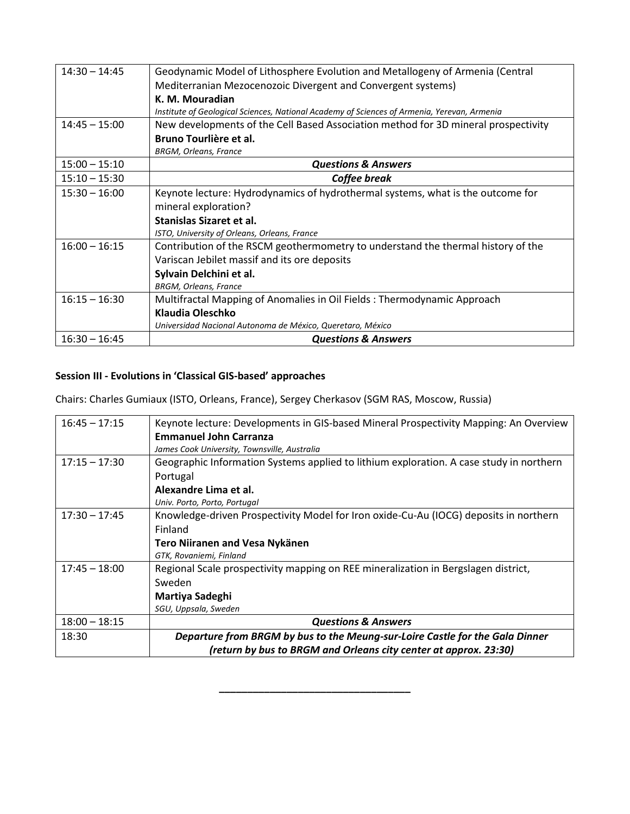| $14:30 - 14:45$ | Geodynamic Model of Lithosphere Evolution and Metallogeny of Armenia (Central               |
|-----------------|---------------------------------------------------------------------------------------------|
|                 | Mediterranian Mezocenozoic Divergent and Convergent systems)                                |
|                 | K. M. Mouradian                                                                             |
|                 | Institute of Geological Sciences, National Academy of Sciences of Armenia, Yerevan, Armenia |
| $14:45 - 15:00$ | New developments of the Cell Based Association method for 3D mineral prospectivity          |
|                 | Bruno Tourlière et al.                                                                      |
|                 | <b>BRGM, Orleans, France</b>                                                                |
| $15:00 - 15:10$ | <b>Questions &amp; Answers</b>                                                              |
| $15:10 - 15:30$ | Coffee break                                                                                |
| $15:30 - 16:00$ | Keynote lecture: Hydrodynamics of hydrothermal systems, what is the outcome for             |
|                 | mineral exploration?                                                                        |
|                 | Stanislas Sizaret et al.                                                                    |
|                 | ISTO, University of Orleans, Orleans, France                                                |
| $16:00 - 16:15$ | Contribution of the RSCM geothermometry to understand the thermal history of the            |
|                 | Variscan Jebilet massif and its ore deposits                                                |
|                 | Sylvain Delchini et al.                                                                     |
|                 | <b>BRGM, Orleans, France</b>                                                                |
| $16:15 - 16:30$ | Multifractal Mapping of Anomalies in Oil Fields: Thermodynamic Approach                     |
|                 | Klaudia Oleschko                                                                            |
|                 | Universidad Nacional Autonoma de México, Queretaro, México                                  |
| $16:30 - 16:45$ | <b>Questions &amp; Answers</b>                                                              |

### **Session III - Evolutions in 'Classical GIS-based' approaches**

Chairs: Charles Gumiaux (ISTO, Orleans, France), Sergey Cherkasov (SGM RAS, Moscow, Russia)

| $16:45 - 17:15$ | Keynote lecture: Developments in GIS-based Mineral Prospectivity Mapping: An Overview   |
|-----------------|-----------------------------------------------------------------------------------------|
|                 | <b>Emmanuel John Carranza</b>                                                           |
|                 | James Cook University, Townsville, Australia                                            |
| $17:15 - 17:30$ | Geographic Information Systems applied to lithium exploration. A case study in northern |
|                 | Portugal                                                                                |
|                 | Alexandre Lima et al.                                                                   |
|                 | Univ. Porto, Porto, Portugal                                                            |
| $17:30 - 17:45$ | Knowledge-driven Prospectivity Model for Iron oxide-Cu-Au (IOCG) deposits in northern   |
|                 | Finland                                                                                 |
|                 | <b>Tero Niiranen and Vesa Nykänen</b>                                                   |
|                 | GTK, Rovaniemi, Finland                                                                 |
| $17:45 - 18:00$ | Regional Scale prospectivity mapping on REE mineralization in Bergslagen district,      |
|                 | Sweden                                                                                  |
|                 | Martiya Sadeghi                                                                         |
|                 | SGU, Uppsala, Sweden                                                                    |
| $18:00 - 18:15$ | <b>Questions &amp; Answers</b>                                                          |
| 18:30           | Departure from BRGM by bus to the Meung-sur-Loire Castle for the Gala Dinner            |
|                 | (return by bus to BRGM and Orleans city center at approx. 23:30)                        |

**\_\_\_\_\_\_\_\_\_\_\_\_\_\_\_\_\_\_\_\_\_\_\_\_\_\_\_\_\_\_\_\_\_\_**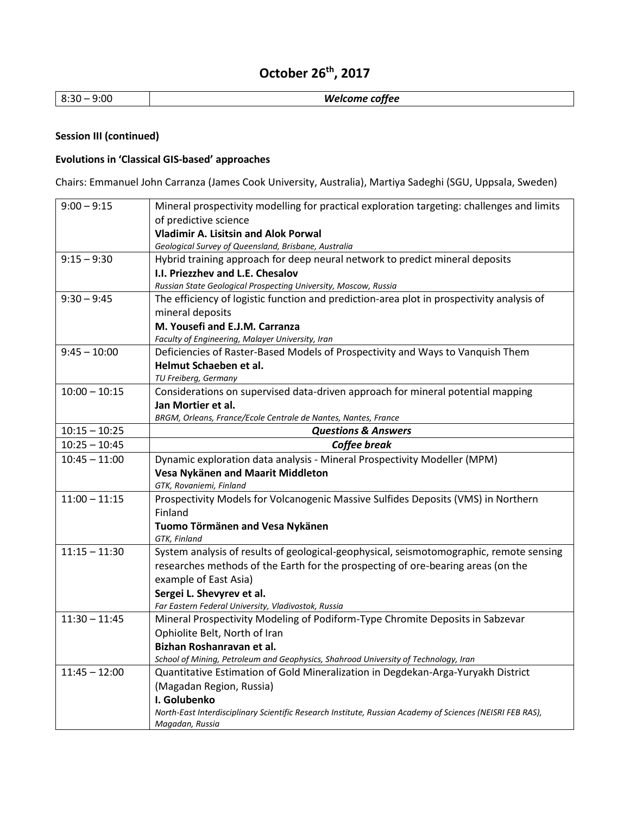# **October 26th, 2017**

| 8:30 – 9:00 | Welcome coffee |
|-------------|----------------|
|-------------|----------------|

### **Session III (continued)**

### **Evolutions in 'Classical GIS-based' approaches**

Chairs: Emmanuel John Carranza (James Cook University, Australia), Martiya Sadeghi (SGU, Uppsala, Sweden)

| $9:00 - 9:15$   | Mineral prospectivity modelling for practical exploration targeting: challenges and limits                                   |
|-----------------|------------------------------------------------------------------------------------------------------------------------------|
|                 | of predictive science                                                                                                        |
|                 | <b>Vladimir A. Lisitsin and Alok Porwal</b>                                                                                  |
|                 | Geological Survey of Queensland, Brisbane, Australia                                                                         |
| $9:15 - 9:30$   | Hybrid training approach for deep neural network to predict mineral deposits                                                 |
|                 | I.I. Priezzhev and L.E. Chesalov                                                                                             |
|                 | Russian State Geological Prospecting University, Moscow, Russia                                                              |
| $9:30 - 9:45$   | The efficiency of logistic function and prediction-area plot in prospectivity analysis of                                    |
|                 | mineral deposits                                                                                                             |
|                 | M. Yousefi and E.J.M. Carranza                                                                                               |
|                 | Faculty of Engineering, Malayer University, Iran                                                                             |
| $9:45 - 10:00$  | Deficiencies of Raster-Based Models of Prospectivity and Ways to Vanquish Them                                               |
|                 | Helmut Schaeben et al.                                                                                                       |
|                 | TU Freiberg, Germany                                                                                                         |
| $10:00 - 10:15$ | Considerations on supervised data-driven approach for mineral potential mapping                                              |
|                 | Jan Mortier et al.                                                                                                           |
|                 | BRGM, Orleans, France/Ecole Centrale de Nantes, Nantes, France                                                               |
| $10:15 - 10:25$ | <b>Questions &amp; Answers</b>                                                                                               |
| $10:25 - 10:45$ | Coffee break                                                                                                                 |
| $10:45 - 11:00$ | Dynamic exploration data analysis - Mineral Prospectivity Modeller (MPM)                                                     |
|                 | Vesa Nykänen and Maarit Middleton                                                                                            |
|                 | GTK, Rovaniemi, Finland                                                                                                      |
| $11:00 - 11:15$ | Prospectivity Models for Volcanogenic Massive Sulfides Deposits (VMS) in Northern                                            |
|                 | Finland                                                                                                                      |
|                 | Tuomo Törmänen and Vesa Nykänen                                                                                              |
| $11:15 - 11:30$ | GTK, Finland                                                                                                                 |
|                 | System analysis of results of geological-geophysical, seismotomographic, remote sensing                                      |
|                 | researches methods of the Earth for the prospecting of ore-bearing areas (on the                                             |
|                 | example of East Asia)                                                                                                        |
|                 | Sergei L. Shevyrev et al.                                                                                                    |
|                 | Far Eastern Federal University, Vladivostok, Russia                                                                          |
| $11:30 - 11:45$ | Mineral Prospectivity Modeling of Podiform-Type Chromite Deposits in Sabzevar                                                |
|                 | Ophiolite Belt, North of Iran                                                                                                |
|                 | Bizhan Roshanravan et al.                                                                                                    |
|                 | School of Mining, Petroleum and Geophysics, Shahrood University of Technology, Iran                                          |
| $11:45 - 12:00$ | Quantitative Estimation of Gold Mineralization in Degdekan-Arga-Yuryakh District                                             |
|                 | (Magadan Region, Russia)                                                                                                     |
|                 | I. Golubenko                                                                                                                 |
|                 | North-East Interdisciplinary Scientific Research Institute, Russian Academy of Sciences (NEISRI FEB RAS),<br>Magadan, Russia |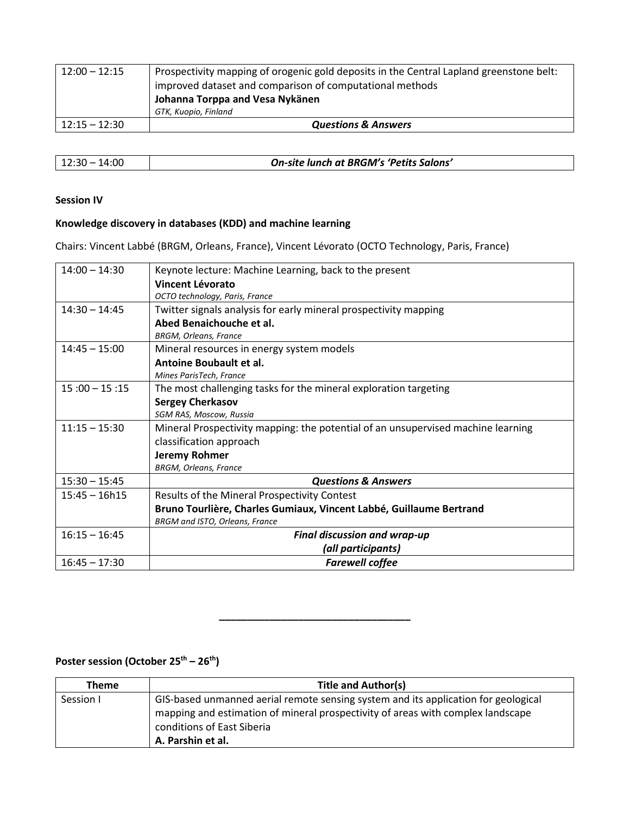| $12:00 - 12:15$ | Prospectivity mapping of orogenic gold deposits in the Central Lapland greenstone belt:<br>improved dataset and comparison of computational methods |
|-----------------|-----------------------------------------------------------------------------------------------------------------------------------------------------|
|                 | Johanna Torppa and Vesa Nykänen                                                                                                                     |
|                 | GTK, Kuopio, Finland                                                                                                                                |
| $12:15 - 12:30$ | <b>Questions &amp; Answers</b>                                                                                                                      |

| $12:30 - 14:00$ | On-site lunch at BRGM's 'Petits Salons' |
|-----------------|-----------------------------------------|

#### **Session IV**

### **Knowledge discovery in databases (KDD) and machine learning**

Chairs: Vincent Labbé (BRGM, Orleans, France), Vincent Lévorato (OCTO Technology, Paris, France)

| $14:00 - 14:30$ | Keynote lecture: Machine Learning, back to the present                           |
|-----------------|----------------------------------------------------------------------------------|
|                 | Vincent Lévorato                                                                 |
|                 | OCTO technology, Paris, France                                                   |
| $14:30 - 14:45$ | Twitter signals analysis for early mineral prospectivity mapping                 |
|                 | Abed Benaichouche et al.                                                         |
|                 | <b>BRGM, Orleans, France</b>                                                     |
| $14:45 - 15:00$ | Mineral resources in energy system models                                        |
|                 | Antoine Boubault et al.                                                          |
|                 | Mines ParisTech, France                                                          |
| $15:00 - 15:15$ | The most challenging tasks for the mineral exploration targeting                 |
|                 | <b>Sergey Cherkasov</b>                                                          |
|                 | SGM RAS, Moscow, Russia                                                          |
| $11:15 - 15:30$ | Mineral Prospectivity mapping: the potential of an unsupervised machine learning |
|                 | classification approach                                                          |
|                 | <b>Jeremy Rohmer</b>                                                             |
|                 | <b>BRGM, Orleans, France</b>                                                     |
| $15:30 - 15:45$ | <b>Questions &amp; Answers</b>                                                   |
| $15:45 - 16h15$ | Results of the Mineral Prospectivity Contest                                     |
|                 | Bruno Tourlière, Charles Gumiaux, Vincent Labbé, Guillaume Bertrand              |
|                 | BRGM and ISTO, Orleans, France                                                   |
| $16:15 - 16:45$ | <b>Final discussion and wrap-up</b>                                              |
|                 | (all participants)                                                               |
| $16:45 - 17:30$ | <b>Farewell coffee</b>                                                           |

### **Poster session (October 25th – 26th)**

| Theme     | <b>Title and Author(s)</b>                                                                                                                                                                                               |
|-----------|--------------------------------------------------------------------------------------------------------------------------------------------------------------------------------------------------------------------------|
| Session I | GIS-based unmanned aerial remote sensing system and its application for geological<br>mapping and estimation of mineral prospectivity of areas with complex landscape<br>conditions of East Siberia<br>A. Parshin et al. |

**\_\_\_\_\_\_\_\_\_\_\_\_\_\_\_\_\_\_\_\_\_\_\_\_\_\_\_\_\_\_\_\_\_\_**